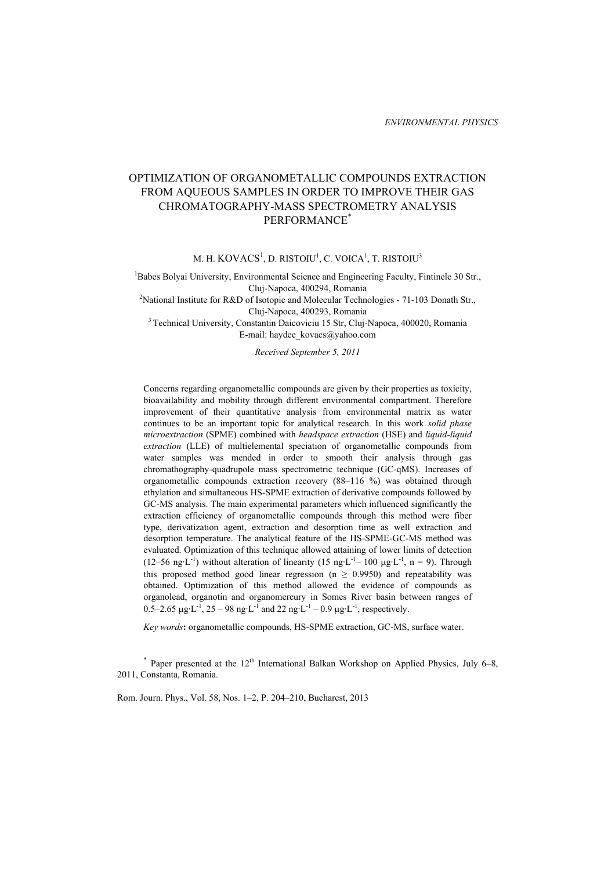# OPTIMIZATION OF ORGANOMETALLIC COMPOUNDS EXTRACTION FROM AQUEOUS SAMPLES IN ORDER TO IMPROVE THEIR GAS CHROMATOGRAPHY-MASS SPECTROMETRY ANALYSIS PERFORMANCE\*

M. H.  $\rm{KOVACS}^1$ , D. RISTOIU $^1$ , C. VOICA $^1$ , T. RISTOIU $^3$ 

<sup>1</sup>Babes Bolyai University, Environmental Science and Engineering Faculty, Fintinele 30 Str.,

Cluj-Napoca, 400294, Romania 2 National Institute for R&D of Isotopic and Molecular Technologies - 71-103 Donath Str., Cluj-Napoca, 400293, Romania 3 Technical University, Constantin Daicoviciu 15 Str, Cluj-Napoca, 400020, Romania

E-mail: haydee\_kovacs@yahoo.com

*Received September 5, 2011* 

Concerns regarding organometallic compounds are given by their properties as toxicity, bioavailability and mobility through different environmental compartment. Therefore improvement of their quantitative analysis from environmental matrix as water continues to be an important topic for analytical research. In this work *solid phase microextraction* (SPME) combined with *headspace extraction* (HSE) and *liquid-liquid extraction* (LLE) of multielemental speciation of organometallic compounds from water samples was mended in order to smooth their analysis through gas chromathography-quadrupole mass spectrometric technique (GC-qMS). Increases of organometallic compounds extraction recovery (88–116 %) was obtained through ethylation and simultaneous HS-SPME extraction of derivative compounds followed by GC-MS analysis. The main experimental parameters which influenced significantly the extraction efficiency of organometallic compounds through this method were fiber type, derivatization agent, extraction and desorption time as well extraction and desorption temperature. The analytical feature of the HS-SPME-GC-MS method was evaluated. Optimization of this technique allowed attaining of lower limits of detection (12–56 ng·L<sup>-1</sup>) without alteration of linearity (15 ng·L<sup>-1</sup>– 100 µg·L<sup>-1</sup>, n = 9). Through this proposed method good linear regression ( $n \geq 0.9950$ ) and repeatability was obtained. Optimization of this method allowed the evidence of compounds as organolead, organotin and organomercury in Somes River basin between ranges of 0.5–2.65  $\mu$ g·L<sup>-1</sup>, 25 – 98 ng·L<sup>-1</sup> and 22 ng·L<sup>-1</sup> – 0.9  $\mu$ g·L<sup>-1</sup>, respectively.

*Key words***:** organometallic compounds, HS-SPME extraction, GC-MS, surface water.

 $*$  Paper presented at the 12<sup>th</sup> International Balkan Workshop on Applied Physics, July 6–8, 2011, Constanta, Romania.

Rom. Journ. Phys., Vol. 58, Nos. 1–2, P. 204–210, Bucharest, 2013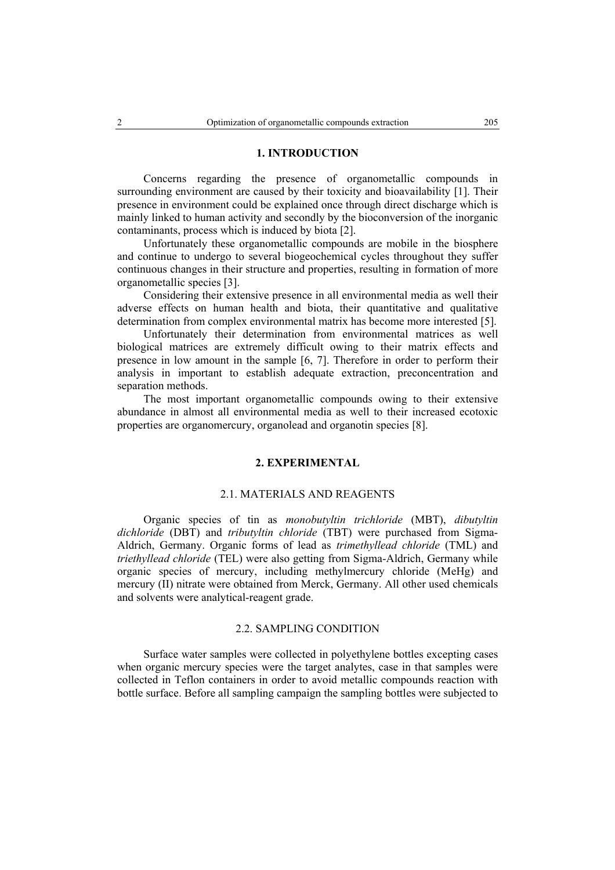### **1. INTRODUCTION**

Concerns regarding the presence of organometallic compounds in surrounding environment are caused by their toxicity and bioavailability [1]. Their presence in environment could be explained once through direct discharge which is mainly linked to human activity and secondly by the bioconversion of the inorganic contaminants, process which is induced by biota [2].

Unfortunately these organometallic compounds are mobile in the biosphere and continue to undergo to several biogeochemical cycles throughout they suffer continuous changes in their structure and properties, resulting in formation of more organometallic species [3].

Considering their extensive presence in all environmental media as well their adverse effects on human health and biota, their quantitative and qualitative determination from complex environmental matrix has become more interested [5].

Unfortunately their determination from environmental matrices as well biological matrices are extremely difficult owing to their matrix effects and presence in low amount in the sample [6, 7]. Therefore in order to perform their analysis in important to establish adequate extraction, preconcentration and separation methods.

The most important organometallic compounds owing to their extensive abundance in almost all environmental media as well to their increased ecotoxic properties are organomercury, organolead and organotin species [8].

## **2. EXPERIMENTAL**

## 2.1. MATERIALS AND REAGENTS

Organic species of tin as *monobutyltin trichloride* (MBT), *dibutyltin dichloride* (DBT) and *tributyltin chloride* (TBT) were purchased from Sigma-Aldrich, Germany. Organic forms of lead as *trimethyllead chloride* (TML) and *triethyllead chloride* (TEL) were also getting from Sigma-Aldrich, Germany while organic species of mercury, including methylmercury chloride (MeHg) and mercury (II) nitrate were obtained from Merck, Germany. All other used chemicals and solvents were analytical-reagent grade.

## 2.2. SAMPLING CONDITION

Surface water samples were collected in polyethylene bottles excepting cases when organic mercury species were the target analytes, case in that samples were collected in Teflon containers in order to avoid metallic compounds reaction with bottle surface. Before all sampling campaign the sampling bottles were subjected to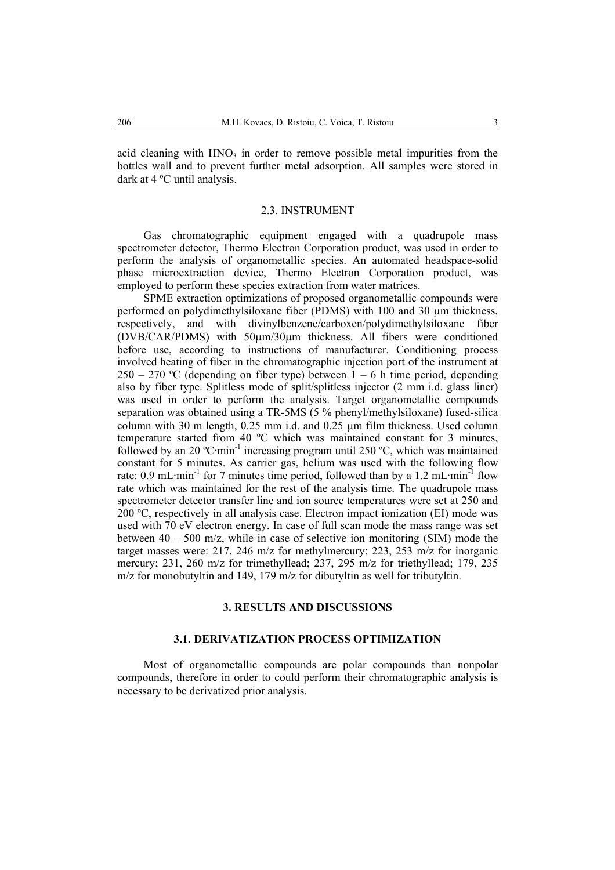acid cleaning with  $HNO<sub>3</sub>$  in order to remove possible metal impurities from the bottles wall and to prevent further metal adsorption. All samples were stored in dark at 4 ºC until analysis.

## 2.3. INSTRUMENT

Gas chromatographic equipment engaged with a quadrupole mass spectrometer detector, Thermo Electron Corporation product, was used in order to perform the analysis of organometallic species. An automated headspace-solid phase microextraction device, Thermo Electron Corporation product, was employed to perform these species extraction from water matrices.

SPME extraction optimizations of proposed organometallic compounds were performed on polydimethylsiloxane fiber (PDMS) with 100 and 30 µm thickness, respectively, and with divinylbenzene/carboxen/polydimethylsiloxane fiber (DVB/CAR/PDMS) with 50µm/30µm thickness. All fibers were conditioned before use, according to instructions of manufacturer. Conditioning process involved heating of fiber in the chromatographic injection port of the instrument at  $250 - 270$  °C (depending on fiber type) between  $1 - 6$  h time period, depending also by fiber type. Splitless mode of split/splitless injector (2 mm i.d. glass liner) was used in order to perform the analysis. Target organometallic compounds separation was obtained using a TR-5MS (5 % phenyl/methylsiloxane) fused-silica column with 30 m length, 0.25 mm i.d. and 0.25 µm film thickness. Used column temperature started from 40 ºC which was maintained constant for 3 minutes, followed by an 20  $^{\circ}$ C·min<sup>-1</sup> increasing program until 250  $^{\circ}$ C, which was maintained constant for 5 minutes. As carrier gas, helium was used with the following flow rate:  $0.9 \text{ mL-min}^{-1}$  for 7 minutes time period, followed than by a 1.2 mL·min<sup>-1</sup> flow rate which was maintained for the rest of the analysis time. The quadrupole mass spectrometer detector transfer line and ion source temperatures were set at 250 and 200 ºC, respectively in all analysis case. Electron impact ionization (EI) mode was used with 70 eV electron energy. In case of full scan mode the mass range was set between  $40 - 500$  m/z, while in case of selective ion monitoring (SIM) mode the target masses were: 217, 246 m/z for methylmercury; 223, 253 m/z for inorganic mercury; 231, 260 m/z for trimethyllead; 237, 295 m/z for triethyllead; 179, 235 m/z for monobutyltin and 149, 179 m/z for dibutyltin as well for tributyltin.

### **3. RESULTS AND DISCUSSIONS**

### **3.1. DERIVATIZATION PROCESS OPTIMIZATION**

Most of organometallic compounds are polar compounds than nonpolar compounds, therefore in order to could perform their chromatographic analysis is necessary to be derivatized prior analysis.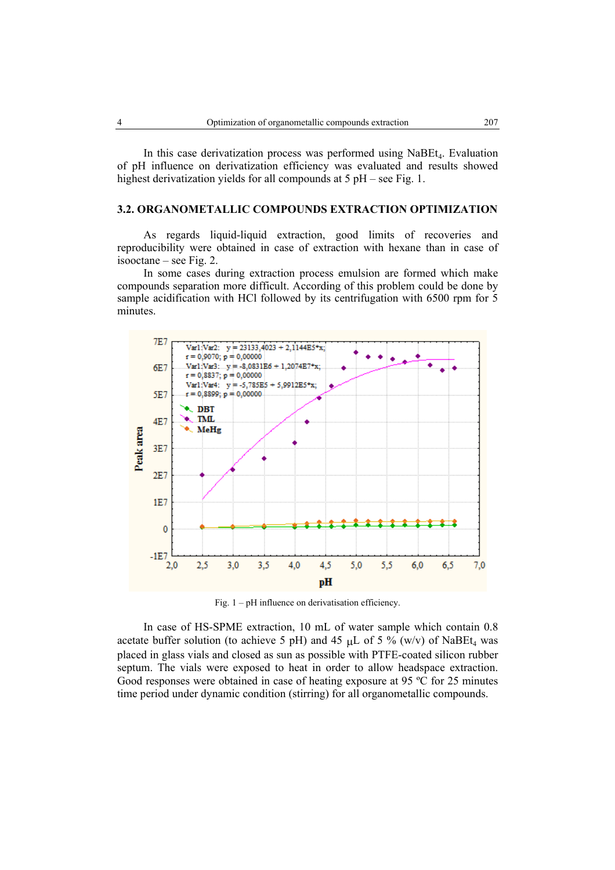In this case derivatization process was performed using  $N_{\text{a}}$   $N_{\text{a}}$ . Evaluation of pH influence on derivatization efficiency was evaluated and results showed highest derivatization yields for all compounds at 5 pH – see Fig. 1.

## **3.2. ORGANOMETALLIC COMPOUNDS EXTRACTION OPTIMIZATION**

As regards liquid-liquid extraction, good limits of recoveries and reproducibility were obtained in case of extraction with hexane than in case of isooctane – see Fig. 2.

In some cases during extraction process emulsion are formed which make compounds separation more difficult. According of this problem could be done by sample acidification with HCl followed by its centrifugation with 6500 rpm for 5 minutes.



Fig. 1 – pH influence on derivatisation efficiency.

 In case of HS-SPME extraction, 10 mL of water sample which contain 0.8 acetate buffer solution (to achieve 5 pH) and 45  $\mu$ L of 5 % (w/v) of NaBEt<sub>4</sub> was placed in glass vials and closed as sun as possible with PTFE-coated silicon rubber septum. The vials were exposed to heat in order to allow headspace extraction. Good responses were obtained in case of heating exposure at 95 ºC for 25 minutes time period under dynamic condition (stirring) for all organometallic compounds.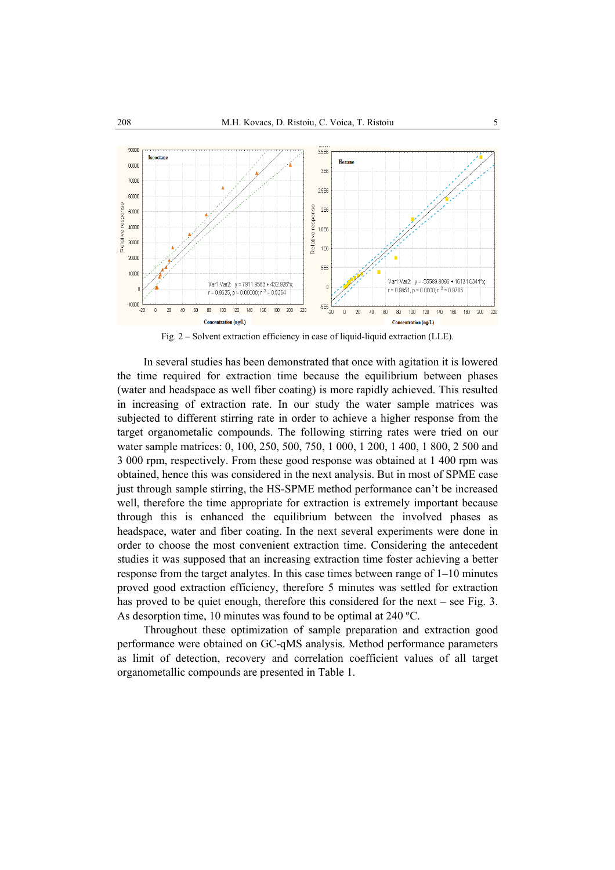

Fig. 2 – Solvent extraction efficiency in case of liquid-liquid extraction (LLE).

 In several studies has been demonstrated that once with agitation it is lowered the time required for extraction time because the equilibrium between phases (water and headspace as well fiber coating) is more rapidly achieved. This resulted in increasing of extraction rate. In our study the water sample matrices was subjected to different stirring rate in order to achieve a higher response from the target organometalic compounds. The following stirring rates were tried on our water sample matrices: 0, 100, 250, 500, 750, 1 000, 1 200, 1 400, 1 800, 2 500 and 3 000 rpm, respectively. From these good response was obtained at 1 400 rpm was obtained, hence this was considered in the next analysis. But in most of SPME case just through sample stirring, the HS-SPME method performance can't be increased well, therefore the time appropriate for extraction is extremely important because through this is enhanced the equilibrium between the involved phases as headspace, water and fiber coating. In the next several experiments were done in order to choose the most convenient extraction time. Considering the antecedent studies it was supposed that an increasing extraction time foster achieving a better response from the target analytes. In this case times between range of 1–10 minutes proved good extraction efficiency, therefore 5 minutes was settled for extraction has proved to be quiet enough, therefore this considered for the next – see Fig. 3. As desorption time, 10 minutes was found to be optimal at 240 ºC.

 Throughout these optimization of sample preparation and extraction good performance were obtained on GC-qMS analysis. Method performance parameters as limit of detection, recovery and correlation coefficient values of all target organometallic compounds are presented in Table 1.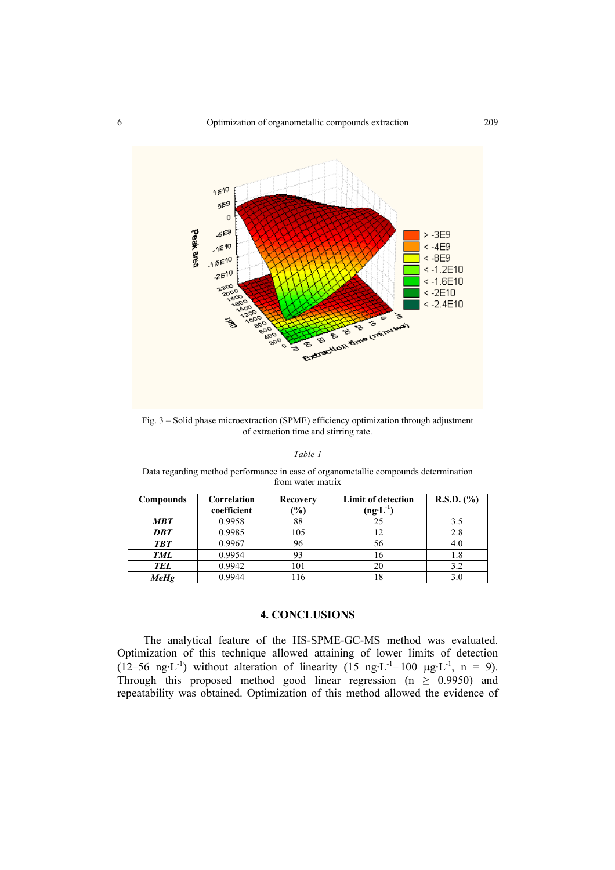

Fig. 3 – Solid phase microextraction (SPME) efficiency optimization through adjustment of extraction time and stirring rate.

#### *Table 1*

Data regarding method performance in case of organometallic compounds determination from water matrix

| Compounds  | Correlation | <b>Recovery</b> | <b>Limit of detection</b>            | $R.S.D.$ $(\% )$ |
|------------|-------------|-----------------|--------------------------------------|------------------|
|            | coefficient | $\frac{6}{6}$   | $(n\mathbf{g}\cdot \mathbf{L}^{-1})$ |                  |
| <b>MBT</b> | 0.9958      | 88              | 25                                   | 3.5              |
| <b>DBT</b> | 0.9985      | 105             |                                      | 2.8              |
| <b>TBT</b> | 0.9967      | 96              | 56                                   | 4.0              |
| <b>TML</b> | 0.9954      | 93              | 16                                   | 1.8              |
| <b>TEL</b> | 0.9942      | 101             | 20                                   | 3.2              |
| MeHg       | 0.9944      | 116             | 18                                   | 3.0              |

#### **4. CONCLUSIONS**

 The analytical feature of the HS-SPME-GC-MS method was evaluated. Optimization of this technique allowed attaining of lower limits of detection (12–56 ng·L<sup>-1</sup>) without alteration of linearity (15 ng·L<sup>-1</sup>–100 µg·L<sup>-1</sup>, n = 9). Through this proposed method good linear regression ( $n \geq 0.9950$ ) and repeatability was obtained. Optimization of this method allowed the evidence of